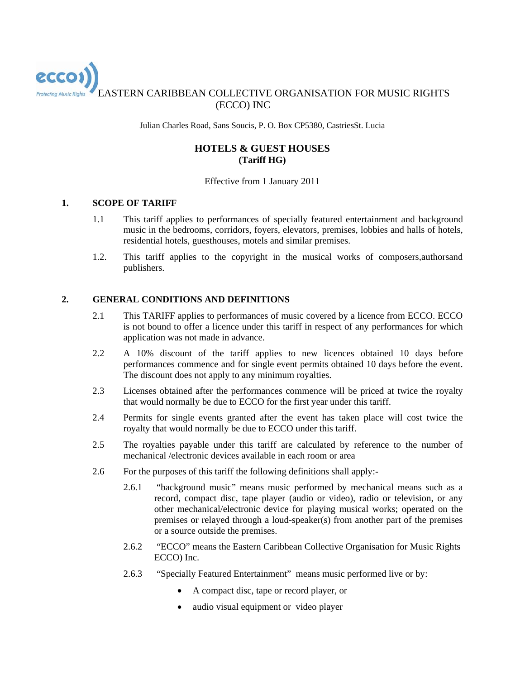eccos EASTERN CARIBBEAN COLLECTIVE ORGANISATION FOR MUSIC RIGHTS ing Music Rights (ECCO) INC

Julian Charles Road, Sans Soucis, P. O. Box CP5380, CastriesSt. Lucia

## **HOTELS & GUEST HOUSES (Tariff HG)**

#### Effective from 1 January 2011

### **1. SCOPE OF TARIFF**

- 1.1 This tariff applies to performances of specially featured entertainment and background music in the bedrooms, corridors, foyers, elevators, premises, lobbies and halls of hotels, residential hotels, guesthouses, motels and similar premises.
- 1.2. This tariff applies to the copyright in the musical works of composers,authorsand publishers.

# **2. GENERAL CONDITIONS AND DEFINITIONS**

- 2.1 This TARIFF applies to performances of music covered by a licence from ECCO. ECCO is not bound to offer a licence under this tariff in respect of any performances for which application was not made in advance.
- 2.2 A 10% discount of the tariff applies to new licences obtained 10 days before performances commence and for single event permits obtained 10 days before the event. The discount does not apply to any minimum royalties.
- 2.3 Licenses obtained after the performances commence will be priced at twice the royalty that would normally be due to ECCO for the first year under this tariff.
- 2.4 Permits for single events granted after the event has taken place will cost twice the royalty that would normally be due to ECCO under this tariff.
- 2.5 The royalties payable under this tariff are calculated by reference to the number of mechanical /electronic devices available in each room or area
- 2.6 For the purposes of this tariff the following definitions shall apply:-
	- 2.6.1 "background music" means music performed by mechanical means such as a record, compact disc, tape player (audio or video), radio or television, or any other mechanical/electronic device for playing musical works; operated on the premises or relayed through a loud-speaker(s) from another part of the premises or a source outside the premises.
	- 2.6.2 "ECCO" means the Eastern Caribbean Collective Organisation for Music Rights ECCO) Inc.
	- 2.6.3 "Specially Featured Entertainment" means music performed live or by:
		- A compact disc, tape or record player, or
		- audio visual equipment or video player